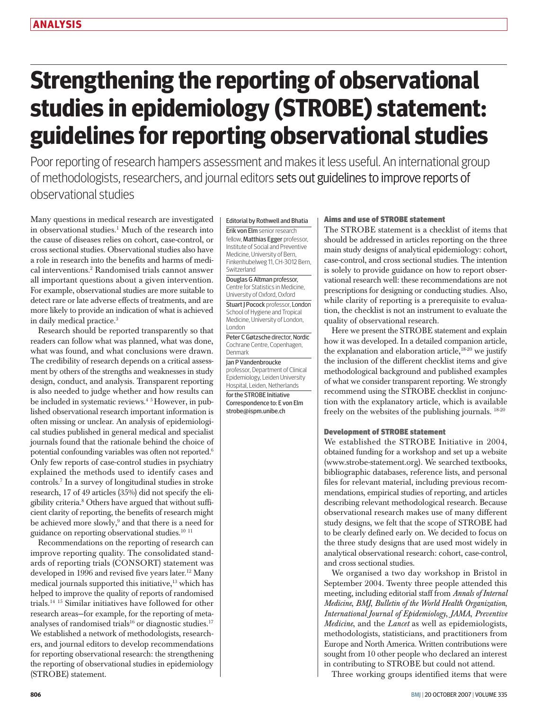# **Strengthening the reporting of observational studies in epidemiology (STROBE) statement: guidelines for reporting observational studies**

Poor reporting of research hampers assessment and makes it less useful. An international group of methodologists, researchers, and journal editors sets out guidelines to improve reports of observational studies

Many questions in medical research are investigated in observational studies.1 Much of the research into the cause of diseases relies on cohort, case-control, or cross sectional studies. Observational studies also have a role in research into the benefits and harms of medical interventions.2 Randomised trials cannot answer all important questions about a given intervention. For example, observational studies are more suitable to detect rare or late adverse effects of treatments, and are more likely to provide an indication of what is achieved in daily medical practice.3

Research should be reported transparently so that readers can follow what was planned, what was done, what was found, and what conclusions were drawn. The credibility of research depends on a critical assessment by others of the strengths and weaknesses in study design, conduct, and analysis. Transparent reporting is also needed to judge whether and how results can be included in systematic reviews.4 5 However, in published observational research important information is often missing or unclear. An analysis of epidemiological studies published in general medical and specialist journals found that the rationale behind the choice of potential confounding variables was often not reported.6 Only few reports of case-control studies in psychiatry explained the methods used to identify cases and controls.7 In a survey of longitudinal studies in stroke research, 17 of 49 articles (35%) did not specify the eligibility criteria.8 Others have argued that without sufficient clarity of reporting, the benefits of research might be achieved more slowly,<sup>9</sup> and that there is a need for guidance on reporting observational studies.<sup>10 11</sup>

Recommendations on the reporting of research can improve reporting quality. The consolidated standards of reporting trials (CONSORT) statement was developed in 1996 and revised five years later.<sup>12</sup> Many medical journals supported this initiative,<sup>13</sup> which has helped to improve the quality of reports of randomised trials.14 15 Similar initiatives have followed for other research areas—for example, for the reporting of metaanalyses of randomised trials<sup>16</sup> or diagnostic studies.<sup>17</sup> We established a network of methodologists, researchers, and journal editors to develop recommendations for reporting observational research: the strengthening the reporting of observational studies in epidemiology (STROBE) statement.

## Editorial by Rothwell and Bhatia

Erik von Elm senior research fellow, Matthias Egger professor, Institute of Social and Preventive Medicine, University of Bern, Finkenhubelweg 11, CH-3012 Bern, **Switzerland** 

Douglas G Altman professor, Centre for Statistics in Medicine, University of Oxford, Oxford Stuart J Pocock professor, London School of Hygiene and Tropical Medicine, University of London, London

Peter C Gøtzsche director, Nordic Cochrane Centre, Copenhagen, Denmark

Jan P Vandenbroucke professor, Department of Clinical Epidemiology, Leiden University Hospital, Leiden, Netherlands for the STROBE Initiative Correspondence to: E von Elm strobe@ispm.unibe.ch

### Aims and use of STROBE statement

The STROBE statement is a checklist of items that should be addressed in articles reporting on the three main study designs of analytical epidemiology: cohort, case-control, and cross sectional studies. The intention is solely to provide guidance on how to report observational research well: these recommendations are not prescriptions for designing or conducting studies. Also, while clarity of reporting is a prerequisite to evaluation, the checklist is not an instrument to evaluate the quality of observational research.

Here we present the STROBE statement and explain how it was developed. In a detailed companion article, the explanation and elaboration article, $18-20$  we justify the inclusion of the different checklist items and give methodological background and published examples of what we consider transparent reporting. We strongly recommend using the STROBE checklist in conjunction with the explanatory article, which is available freely on the websites of the publishing journals. 18-20

### Development of STROBE statement

We established the STROBE Initiative in 2004, obtained funding for a workshop and set up a website (www.strobe-statement.org). We searched textbooks, bibliographic databases, reference lists, and personal files for relevant material, including previous recommendations, empirical studies of reporting, and articles describing relevant methodological research. Because observational research makes use of many different study designs, we felt that the scope of STROBE had to be clearly defined early on. We decided to focus on the three study designs that are used most widely in analytical observational research: cohort, case-control, and cross sectional studies.

We organised a two day workshop in Bristol in September 2004. Twenty three people attended this meeting, including editorial staff from *Annals of Internal Medicine*, *BMJ*, *Bulletin of the World Health Organization*, *International Journal of Epidemiology*, *JAMA*, *Preventive Medicine*, and the *Lancet* as well as epidemiologists, methodologists, statisticians, and practitioners from Europe and North America. Written contributions were sought from 10 other people who declared an interest in contributing to STROBE but could not attend.

Three working groups identified items that were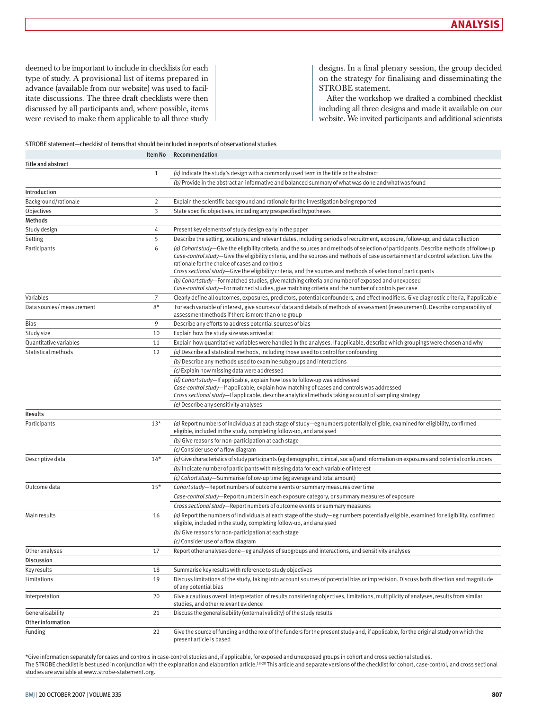deemed to be important to include in checklists for each type of study. A provisional list of items prepared in advance (available from our website) was used to facilitate discussions. The three draft checklists were then discussed by all participants and, where possible, items were revised to make them applicable to all three study designs. In a final plenary session, the group decided on the strategy for finalising and disseminating the STROBE statement.

After the workshop we drafted a combined checklist including all three designs and made it available on our website. We invited participants and additional scientists

#### STROBE statement—checklist of items that should be included in reports of observational studies

|                           |                | Item No Recommendation                                                                                                                                                                                                                                                                                                                                                                                                                                                                                                                                |
|---------------------------|----------------|-------------------------------------------------------------------------------------------------------------------------------------------------------------------------------------------------------------------------------------------------------------------------------------------------------------------------------------------------------------------------------------------------------------------------------------------------------------------------------------------------------------------------------------------------------|
| <b>Title and abstract</b> |                |                                                                                                                                                                                                                                                                                                                                                                                                                                                                                                                                                       |
|                           | $1\,$          | (a) Indicate the study's design with a commonly used term in the title or the abstract                                                                                                                                                                                                                                                                                                                                                                                                                                                                |
|                           |                | (b) Provide in the abstract an informative and balanced summary of what was done and what was found                                                                                                                                                                                                                                                                                                                                                                                                                                                   |
| Introduction              |                |                                                                                                                                                                                                                                                                                                                                                                                                                                                                                                                                                       |
| Background/rationale      | $\overline{2}$ | Explain the scientific background and rationale for the investigation being reported                                                                                                                                                                                                                                                                                                                                                                                                                                                                  |
| Objectives                | 3              | State specific objectives, including any prespecified hypotheses                                                                                                                                                                                                                                                                                                                                                                                                                                                                                      |
| Methods                   |                |                                                                                                                                                                                                                                                                                                                                                                                                                                                                                                                                                       |
| Study design              | 4              | Present key elements of study design early in the paper                                                                                                                                                                                                                                                                                                                                                                                                                                                                                               |
| Setting                   | 5              | Describe the setting, locations, and relevant dates, including periods of recruitment, exposure, follow-up, and data collection                                                                                                                                                                                                                                                                                                                                                                                                                       |
| Participants              | 6              | (a) Cohort study-Give the eligibility criteria, and the sources and methods of selection of participants. Describe methods of follow-up<br>Case-control study-Give the eligibility criteria, and the sources and methods of case ascertainment and control selection. Give the<br>rationale for the choice of cases and controls<br>Cross sectional study-Give the eligibility criteria, and the sources and methods of selection of participants<br>(b) Cohort study-For matched studies, give matching criteria and number of exposed and unexposed |
|                           |                | Case-control study-For matched studies, give matching criteria and the number of controls per case                                                                                                                                                                                                                                                                                                                                                                                                                                                    |
| Variables                 | 7              | Clearly define all outcomes, exposures, predictors, potential confounders, and effect modifiers. Give diagnostic criteria, if applicable                                                                                                                                                                                                                                                                                                                                                                                                              |
| Data sources/ measurement | $8*$           | For each variable of interest, give sources of data and details of methods of assessment (measurement). Describe comparability of<br>assessment methods if there is more than one group                                                                                                                                                                                                                                                                                                                                                               |
| Bias                      | 9              | Describe any efforts to address potential sources of bias                                                                                                                                                                                                                                                                                                                                                                                                                                                                                             |
| Study size                | 10             | Explain how the study size was arrived at                                                                                                                                                                                                                                                                                                                                                                                                                                                                                                             |
| Quantitative variables    | 11             | Explain how quantitative variables were handled in the analyses. If applicable, describe which groupings were chosen and why                                                                                                                                                                                                                                                                                                                                                                                                                          |
| Statistical methods       | 12             | (a) Describe all statistical methods, including those used to control for confounding                                                                                                                                                                                                                                                                                                                                                                                                                                                                 |
|                           |                | (b) Describe any methods used to examine subgroups and interactions                                                                                                                                                                                                                                                                                                                                                                                                                                                                                   |
|                           |                | (c) Explain how missing data were addressed                                                                                                                                                                                                                                                                                                                                                                                                                                                                                                           |
|                           |                | (d) Cohort study-If applicable, explain how loss to follow-up was addressed<br>Case-control study-If applicable, explain how matching of cases and controls was addressed<br>Cross sectional study-If applicable, describe analytical methods taking account of sampling strategy                                                                                                                                                                                                                                                                     |
|                           |                | (e) Describe any sensitivity analyses                                                                                                                                                                                                                                                                                                                                                                                                                                                                                                                 |
| <b>Results</b>            |                |                                                                                                                                                                                                                                                                                                                                                                                                                                                                                                                                                       |
| Participants              | $13*$          | (a) Report numbers of individuals at each stage of study—eg numbers potentially eligible, examined for eligibility, confirmed<br>eligible, included in the study, completing follow-up, and analysed                                                                                                                                                                                                                                                                                                                                                  |
|                           |                | (b) Give reasons for non-participation at each stage                                                                                                                                                                                                                                                                                                                                                                                                                                                                                                  |
|                           |                | (c) Consider use of a flow diagram                                                                                                                                                                                                                                                                                                                                                                                                                                                                                                                    |
| Descriptive data          | $14*$          | (a) Give characteristics of study participants (eg demographic, clinical, social) and information on exposures and potential confounders                                                                                                                                                                                                                                                                                                                                                                                                              |
|                           |                | (b) Indicate number of participants with missing data for each variable of interest                                                                                                                                                                                                                                                                                                                                                                                                                                                                   |
|                           |                | (c) Cohort study-Summarise follow-up time (eg average and total amount)                                                                                                                                                                                                                                                                                                                                                                                                                                                                               |
| Outcome data              | $15*$          | Cohort study-Report numbers of outcome events or summary measures over time                                                                                                                                                                                                                                                                                                                                                                                                                                                                           |
|                           |                | Case-control study-Report numbers in each exposure category, or summary measures of exposure                                                                                                                                                                                                                                                                                                                                                                                                                                                          |
|                           |                | Cross sectional study-Report numbers of outcome events or summary measures                                                                                                                                                                                                                                                                                                                                                                                                                                                                            |
| Main results              | 16             | (a) Report the numbers of individuals at each stage of the study-eg numbers potentially eligible, examined for eligibility, confirmed<br>eligible, included in the study, completing follow-up, and analysed                                                                                                                                                                                                                                                                                                                                          |
|                           |                | (b) Give reasons for non-participation at each stage                                                                                                                                                                                                                                                                                                                                                                                                                                                                                                  |
|                           |                | (c) Consider use of a flow diagram                                                                                                                                                                                                                                                                                                                                                                                                                                                                                                                    |
| Other analyses            | 17             | Report other analyses done-eg analyses of subgroups and interactions, and sensitivity analyses                                                                                                                                                                                                                                                                                                                                                                                                                                                        |
| Discussion                |                |                                                                                                                                                                                                                                                                                                                                                                                                                                                                                                                                                       |
| Key results               | 18             | Summarise key results with reference to study objectives                                                                                                                                                                                                                                                                                                                                                                                                                                                                                              |
| Limitations               | 19             | Discuss limitations of the study, taking into account sources of potential bias or imprecision. Discuss both direction and magnitude<br>of any potential bias                                                                                                                                                                                                                                                                                                                                                                                         |
| Interpretation            | 20             | Give a cautious overall interpretation of results considering objectives, limitations, multiplicity of analyses, results from similar<br>studies, and other relevant evidence                                                                                                                                                                                                                                                                                                                                                                         |
| Generalisability          | 21             | Discuss the generalisability (external validity) of the study results                                                                                                                                                                                                                                                                                                                                                                                                                                                                                 |
| Other information         |                |                                                                                                                                                                                                                                                                                                                                                                                                                                                                                                                                                       |
| Funding                   | 22             | Give the source of funding and the role of the funders for the present study and, if applicable, for the original study on which the<br>present article is based                                                                                                                                                                                                                                                                                                                                                                                      |

\*Give information separately for cases and controls in case-control studies and, if applicable, for exposed and unexposed groups in cohort and cross sectional studies. The STROBE checklist is best used in conjunction with the explanation and elaboration article.<sup>18-20</sup> This article and separate versions of the checklist for cohort, case-control, and cross sectional studies are available atwww.strobe-statement.org.